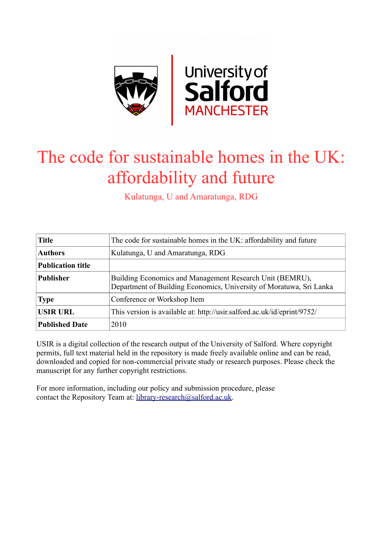

# The code for sustainable homes in the UK: affordability and future

Kulatunga, U and Amaratunga, RDG

| <b>Title</b>             | The code for sustainable homes in the UK: affordability and future                                                              |  |  |
|--------------------------|---------------------------------------------------------------------------------------------------------------------------------|--|--|
| <b>Authors</b>           | Kulatunga, U and Amaratunga, RDG                                                                                                |  |  |
| <b>Publication title</b> |                                                                                                                                 |  |  |
| <b>Publisher</b>         | Building Economics and Management Research Unit (BEMRU),<br>Department of Building Economics, University of Moratuwa, Sri Lanka |  |  |
| <b>Type</b>              | Conference or Workshop Item                                                                                                     |  |  |
| <b>USIR URL</b>          | This version is available at: http://usir.salford.ac.uk/id/eprint/9752/                                                         |  |  |
| <b>Published Date</b>    | 2010                                                                                                                            |  |  |

USIR is a digital collection of the research output of the University of Salford. Where copyright permits, full text material held in the repository is made freely available online and can be read, downloaded and copied for non-commercial private study or research purposes. Please check the manuscript for any further copyright restrictions.

For more information, including our policy and submission procedure, please contact the Repository Team at: [library-research@salford.ac.uk.](mailto:library-research@salford.ac.uk)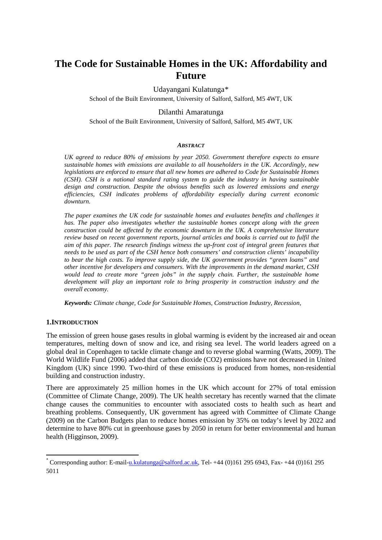# **The Code for Sustainable Homes in the UK: Affordability and Future**

# Udayangani Kulatunga[\\*](#page-1-0)

School of the Built Environment, University of Salford, Salford, M5 4WT, UK

## Dilanthi Amaratunga

School of the Built Environment, University of Salford, Salford, M5 4WT, UK

#### *ABSTRACT*

*UK agreed to reduce 80% of emissions by year 2050. Government therefore expects to ensure sustainable homes with emissions are available to all householders in the UK. Accordingly, new legislations are enforced to ensure that all new homes are adhered to Code for Sustainable Homes (CSH). CSH is a national standard rating system to guide the industry in having sustainable design and construction. Despite the obvious benefits such as lowered emissions and energy efficiencies, CSH indicates problems of affordability especially during current economic downturn.* 

*The paper examines the UK code for sustainable homes and evaluates benefits and challenges it has. The paper also investigates whether the sustainable homes concept along with the green construction could be affected by the economic downturn in the UK. A comprehensive literature review based on recent government reports, journal articles and books is carried out to fulfil the aim of this paper. The research findings witness the up-front cost of integral green features that needs to be used as part of the CSH hence both consumers' and construction clients' incapability to bear the high costs. To improve supply side, the UK government provides "green loans" and other incentive for developers and consumers. With the improvements in the demand market, CSH would lead to create more "green jobs" in the supply chain. Further, the sustainable home development will play an important role to bring prosperity in construction industry and the overall economy.*

*Keywords: Climate change, Code for Sustainable Homes, Construction Industry, Recession,* 

## **1.INTRODUCTION**

The emission of green house gases results in global warming is evident by the increased air and ocean temperatures, melting down of snow and ice, and rising sea level. The world leaders agreed on a global deal in Copenhagen to tackle climate change and to reverse global warming (Watts, 2009). The World Wildlife Fund (2006) added that carbon dioxide (CO2) emissions have not decreased in United Kingdom (UK) since 1990. Two-third of these emissions is produced from homes, non-residential building and construction industry.

There are approximately 25 million homes in the UK which account for 27% of total emission (Committee of Climate Change, 2009). The UK health secretary has recently warned that the climate change causes the communities to encounter with associated costs to health such as heart and breathing problems. Consequently, UK government has agreed with Committee of Climate Change (2009) on the Carbon Budgets plan to reduce homes emission by 35% on today's level by 2022 and determine to have 80% cut in greenhouse gases by 2050 in return for better environmental and human health (Higginson, 2009).

<span id="page-1-0"></span> <sup>\*</sup> Corresponding author: E-mail[-u.kulatunga@salford.ac.uk,](mailto:u.kulatunga@salford.ac.uk) Tel- +44 (0)161 295 6943, Fax- +44 (0)161 295 5011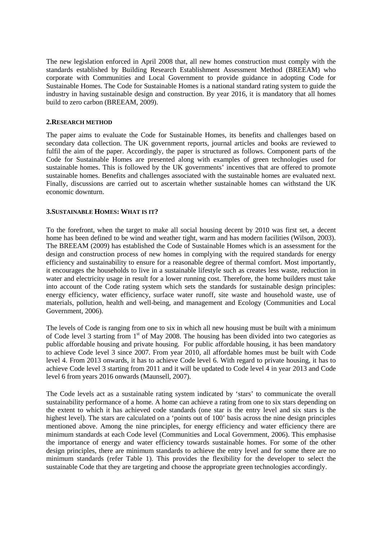The new legislation enforced in April 2008 that, all new homes construction must comply with the standards established by Building Research Establishment Assessment Method (BREEAM) who corporate with Communities and Local Government to provide guidance in adopting Code for Sustainable Homes. The Code for Sustainable Homes is a national standard rating system to guide the industry in having sustainable design and construction. By year 2016, it is mandatory that all homes build to zero carbon (BREEAM, 2009).

#### **2.RESEARCH METHOD**

The paper aims to evaluate the Code for Sustainable Homes, its benefits and challenges based on secondary data collection. The UK government reports, journal articles and books are reviewed to fulfil the aim of the paper. Accordingly, the paper is structured as follows. Component parts of the Code for Sustainable Homes are presented along with examples of green technologies used for sustainable homes. This is followed by the UK governments' incentives that are offered to promote sustainable homes. Benefits and challenges associated with the sustainable homes are evaluated next. Finally, discussions are carried out to ascertain whether sustainable homes can withstand the UK economic downturn.

## **3.SUSTAINABLE HOMES: WHAT IS IT?**

To the forefront, when the target to make all social housing decent by 2010 was first set, a decent home has been defined to be wind and weather tight, warm and has modern facilities (Wilson, 2003). The BREEAM (2009) has established the Code of Sustainable Homes which is an assessment for the design and construction process of new homes in complying with the required standards for energy efficiency and sustainability to ensure for a reasonable degree of thermal comfort. Most importantly, it encourages the households to live in a sustainable lifestyle such as creates less waste, reduction in water and electricity usage in result for a lower running cost. Therefore, the home builders must take into account of the Code rating system which sets the standards for sustainable design principles: energy efficiency, water efficiency, surface water runoff, site waste and household waste, use of materials, pollution, health and well-being, and management and Ecology (Communities and Local Government, 2006).

The levels of Code is ranging from one to six in which all new housing must be built with a minimum of Code level 3 starting from 1<sup>st</sup> of May 2008. The housing has been divided into two categories as public affordable housing and private housing. For public affordable housing, it has been mandatory to achieve Code level 3 since 2007. From year 2010, all affordable homes must be built with Code level 4. From 2013 onwards, it has to achieve Code level 6. With regard to private housing, it has to achieve Code level 3 starting from 2011 and it will be updated to Code level 4 in year 2013 and Code level 6 from years 2016 onwards (Maunsell, 2007).

The Code levels act as a sustainable rating system indicated by 'stars' to communicate the overall sustainability performance of a home. A home can achieve a rating from one to six stars depending on the extent to which it has achieved code standards (one star is the entry level and six stars is the highest level). The stars are calculated on a 'points out of 100' basis across the nine design principles mentioned above. Among the nine principles, for energy efficiency and water efficiency there are minimum standards at each Code level (Communities and Local Government, 2006). This emphasise the importance of energy and water efficiency towards sustainable homes. For some of the other design principles, there are minimum standards to achieve the entry level and for some there are no minimum standards (refer Table 1). This provides the flexibility for the developer to select the sustainable Code that they are targeting and choose the appropriate green technologies accordingly.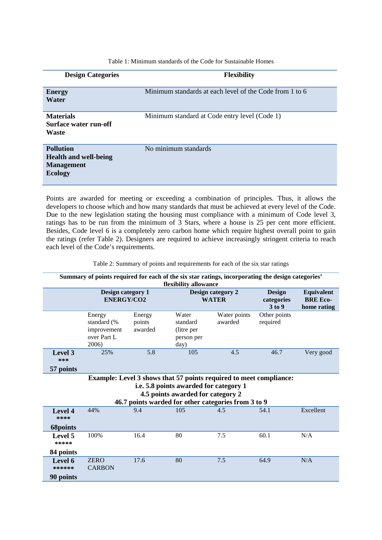| <b>Design Categories</b>                                                                | <b>Flexibility</b>                                      |
|-----------------------------------------------------------------------------------------|---------------------------------------------------------|
| <b>Energy</b><br>Water                                                                  | Minimum standards at each level of the Code from 1 to 6 |
| <b>Materials</b><br>Surface water run-off<br>Waste                                      | Minimum standard at Code entry level (Code 1)           |
| <b>Pollution</b><br><b>Health and well-being</b><br><b>Management</b><br><b>Ecology</b> | No minimum standards                                    |

Table 1: Minimum standards of the Code for Sustainable Homes

Points are awarded for meeting or exceeding a combination of principles. Thus, it allows the developers to choose which and how many standards that must be achieved at every level of the Code. Due to the new legislation stating the housing must compliance with a minimum of Code level 3, ratings has to be run from the minimum of 3 Stars, where a house is 25 per cent more efficient. Besides, Code level 6 is a completely zero carbon home which require highest overall point to gain the ratings (refer Table 2). Designers are required to achieve increasingly stringent criteria to reach each level of the Code's requirements.

Table 2: Summary of points and requirements for each of the six star ratings

| Summary of points required for each of the six star ratings, incorporating the design categories'<br>flexibility allowance                                                                               |                                                              |                             |                                                       |                                   |                                       |                                              |
|----------------------------------------------------------------------------------------------------------------------------------------------------------------------------------------------------------|--------------------------------------------------------------|-----------------------------|-------------------------------------------------------|-----------------------------------|---------------------------------------|----------------------------------------------|
|                                                                                                                                                                                                          | Design category 1<br><b>ENERGY/CO2</b>                       |                             |                                                       | Design category 2<br><b>WATER</b> | <b>Design</b><br>categories<br>3 to 9 | Equivalent<br><b>BRE</b> Eco-<br>home rating |
|                                                                                                                                                                                                          | Energy<br>standard (%<br>improvement<br>over Part L<br>2006) | Energy<br>points<br>awarded | Water<br>standard<br>(litre per<br>person per<br>day) | Water points<br>awarded           | Other points<br>required              |                                              |
| Level 3<br>***<br>57 points                                                                                                                                                                              | 25%                                                          | 5.8                         | 105                                                   | 4.5                               | 46.7                                  | Very good                                    |
| Example: Level 3 shows that 57 points required to meet compliance:<br>i.e. 5.8 points awarded for category 1<br>4.5 points awarded for category 2<br>46.7 points warded for other categories from 3 to 9 |                                                              |                             |                                                       |                                   |                                       |                                              |
| Level 4<br>****<br><b>68points</b>                                                                                                                                                                       | 44%                                                          | 9.4                         | 105                                                   | 4.5                               | 54.1                                  | Excellent                                    |
| Level 5<br>*****<br>84 points                                                                                                                                                                            | 100%                                                         | 16.4                        | 80                                                    | 7.5                               | 60.1                                  | N/A                                          |
| Level 6<br>******<br>90 points                                                                                                                                                                           | <b>ZERO</b><br><b>CARBON</b>                                 | 17.6                        | 80                                                    | 7.5                               | 64.9                                  | N/A                                          |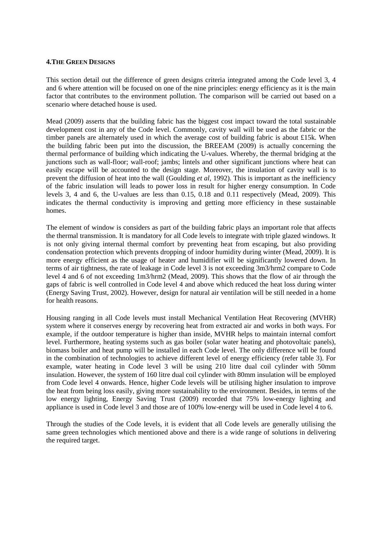#### **4.THE GREEN DESIGNS**

This section detail out the difference of green designs criteria integrated among the Code level 3, 4 and 6 where attention will be focused on one of the nine principles: energy efficiency as it is the main factor that contributes to the environment pollution. The comparison will be carried out based on a scenario where detached house is used.

Mead (2009) asserts that the building fabric has the biggest cost impact toward the total sustainable development cost in any of the Code level. Commonly, cavity wall will be used as the fabric or the timber panels are alternately used in which the average cost of building fabric is about £15k. When the building fabric been put into the discussion, the BREEAM (2009) is actually concerning the thermal performance of building which indicating the U-values. Whereby, the thermal bridging at the junctions such as wall-floor; wall-roof; jambs; lintels and other significant junctions where heat can easily escape will be accounted to the design stage. Moreover, the insulation of cavity wall is to prevent the diffusion of heat into the wall (Goulding *et al*, 1992). This is important as the inefficiency of the fabric insulation will leads to power loss in result for higher energy consumption. In Code levels 3, 4 and 6, the U-values are less than 0.15, 0.18 and 0.11 respectively (Mead, 2009). This indicates the thermal conductivity is improving and getting more efficiency in these sustainable homes.

The element of window is considers as part of the building fabric plays an important role that affects the thermal transmission. It is mandatory for all Code levels to integrate with triple glazed windows. It is not only giving internal thermal comfort by preventing heat from escaping, but also providing condensation protection which prevents dropping of indoor humidity during winter (Mead, 2009). It is more energy efficient as the usage of heater and humidifier will be significantly lowered down. In terms of air tightness, the rate of leakage in Code level 3 is not exceeding 3m3/hrm2 compare to Code level 4 and 6 of not exceeding 1m3/hrm2 (Mead, 2009). This shows that the flow of air through the gaps of fabric is well controlled in Code level 4 and above which reduced the heat loss during winter (Energy Saving Trust, 2002). However, design for natural air ventilation will be still needed in a home for health reasons.

Housing ranging in all Code levels must install Mechanical Ventilation Heat Recovering (MVHR) system where it conserves energy by recovering heat from extracted air and works in both ways. For example, if the outdoor temperature is higher than inside, MVHR helps to maintain internal comfort level. Furthermore, heating systems such as gas boiler (solar water heating and photovoltaic panels), biomass boiler and heat pump will be installed in each Code level. The only difference will be found in the combination of technologies to achieve different level of energy efficiency (refer table 3). For example, water heating in Code level 3 will be using 210 litre dual coil cylinder with 50mm insulation. However, the system of 160 litre dual coil cylinder with 80mm insulation will be employed from Code level 4 onwards. Hence, higher Code levels will be utilising higher insulation to improve the heat from being loss easily, giving more sustainability to the environment. Besides, in terms of the low energy lighting, Energy Saving Trust (2009) recorded that 75% low-energy lighting and appliance is used in Code level 3 and those are of 100% low-energy will be used in Code level 4 to 6.

Through the studies of the Code levels, it is evident that all Code levels are generally utilising the same green technologies which mentioned above and there is a wide range of solutions in delivering the required target.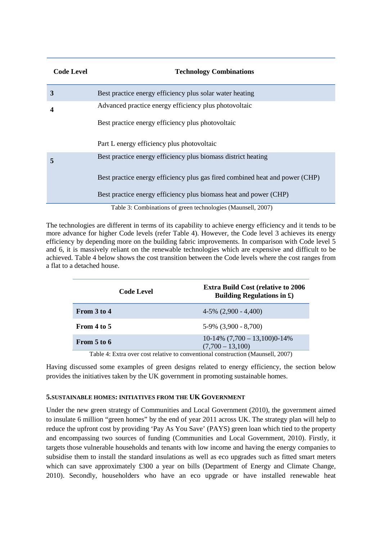| <b>Code Level</b> | <b>Technology Combinations</b>                                               |
|-------------------|------------------------------------------------------------------------------|
| 3                 | Best practice energy efficiency plus solar water heating                     |
| 4                 | Advanced practice energy efficiency plus photovoltaic                        |
|                   | Best practice energy efficiency plus photovoltaic                            |
|                   | Part L energy efficiency plus photovoltaic                                   |
| 5                 | Best practice energy efficiency plus biomass district heating                |
|                   | Best practice energy efficiency plus gas fired combined heat and power (CHP) |
|                   | Best practice energy efficiency plus biomass heat and power (CHP)            |
|                   | Table 3: Combinations of green technologies (Maunsell, 2007)                 |

The technologies are different in terms of its capability to achieve energy efficiency and it tends to be more advance for higher Code levels (refer Table 4). However, the Code level 3 achieves its energy efficiency by depending more on the building fabric improvements. In comparison with Code level 5 and 6, it is massively reliant on the renewable technologies which are expensive and difficult to be achieved. Table 4 below shows the cost transition between the Code levels where the cost ranges from a flat to a detached house.

|             | <b>Code Level</b> | <b>Extra Build Cost (relative to 2006)</b><br>Building Regulations in $\mathfrak{L}$ )                                                                                                                                                                                                                                            |
|-------------|-------------------|-----------------------------------------------------------------------------------------------------------------------------------------------------------------------------------------------------------------------------------------------------------------------------------------------------------------------------------|
| From 3 to 4 |                   | $4-5\%$ $(2,900 - 4,400)$                                                                                                                                                                                                                                                                                                         |
| From 4 to 5 |                   | $5-9\%$ $(3,900 - 8,700)$                                                                                                                                                                                                                                                                                                         |
| From 5 to 6 |                   | $10-14\%$ $(7,700-13,100)0-14\%$<br>$(7,700 - 13,100)$                                                                                                                                                                                                                                                                            |
|             |                   | $\mathbf{T}^{(1)}$ , 1, 1, $\mathbf{T}^{(1)}$ , $\mathbf{L}^{(2)}$ , $\mathbf{L}^{(3)}$ , $\mathbf{L}^{(4)}$ , $\mathbf{L}^{(3)}$ , $\mathbf{L}^{(4)}$ , $\mathbf{L}^{(5)}$ , $\mathbf{L}^{(5)}$ , $\mathbf{L}^{(6)}$ , $\mathbf{L}^{(7)}$ , $\mathbf{L}^{(8)}$ , $\mathbf{L}^{(10)}$ , $\mathbf{L}^{(11)}$ , $\mathbf{L}^{(10)}$ |

Table 4: Extra over cost relative to conventional construction (Maunsell, 2007)

Having discussed some examples of green designs related to energy efficiency, the section below provides the initiatives taken by the UK government in promoting sustainable homes.

## **5.SUSTAINABLE HOMES: INITIATIVES FROM THE UK GOVERNMENT**

Under the new green strategy of Communities and Local Government (2010), the government aimed to insulate 6 million "green homes" by the end of year 2011 across UK. The strategy plan will help to reduce the upfront cost by providing 'Pay As You Save' (PAYS) green loan which tied to the property and encompassing two sources of funding (Communities and Local Government, 2010). Firstly, it targets those vulnerable households and tenants with low income and having the energy companies to subsidise them to install the standard insulations as well as eco upgrades such as fitted smart meters which can save approximately £300 a year on bills (Department of Energy and Climate Change, 2010). Secondly, householders who have an eco upgrade or have installed renewable heat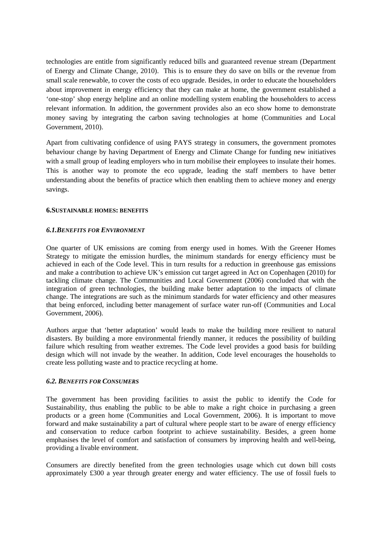technologies are entitle from significantly reduced bills and guaranteed revenue stream (Department of Energy and Climate Change, 2010). This is to ensure they do save on bills or the revenue from small scale renewable, to cover the costs of eco upgrade. Besides, in order to educate the householders about improvement in energy efficiency that they can make at home, the government established a 'one-stop' shop energy helpline and an online modelling system enabling the householders to access relevant information. In addition, the government provides also an eco show home to demonstrate money saving by integrating the carbon saving technologies at home (Communities and Local Government, 2010).

Apart from cultivating confidence of using PAYS strategy in consumers, the government promotes behaviour change by having Department of Energy and Climate Change for funding new initiatives with a small group of leading employers who in turn mobilise their employees to insulate their homes. This is another way to promote the eco upgrade, leading the staff members to have better understanding about the benefits of practice which then enabling them to achieve money and energy savings.

## **6.SUSTAINABLE HOMES: BENEFITS**

#### *6.1.BENEFITS FOR ENVIRONMENT*

One quarter of UK emissions are coming from energy used in homes. With the Greener Homes Strategy to mitigate the emission hurdles, the minimum standards for energy efficiency must be achieved in each of the Code level. This in turn results for a reduction in greenhouse gas emissions and make a contribution to achieve UK's emission cut target agreed in Act on Copenhagen (2010) for tackling climate change. The Communities and Local Government (2006) concluded that with the integration of green technologies, the building make better adaptation to the impacts of climate change. The integrations are such as the minimum standards for water efficiency and other measures that being enforced, including better management of surface water run-off (Communities and Local Government, 2006).

Authors argue that 'better adaptation' would leads to make the building more resilient to natural disasters. By building a more environmental friendly manner, it reduces the possibility of building failure which resulting from weather extremes. The Code level provides a good basis for building design which will not invade by the weather. In addition, Code level encourages the households to create less polluting waste and to practice recycling at home.

## *6.2. BENEFITS FOR CONSUMERS*

The government has been providing facilities to assist the public to identify the Code for Sustainability, thus enabling the public to be able to make a right choice in purchasing a green products or a green home (Communities and Local Government, 2006). It is important to move forward and make sustainability a part of cultural where people start to be aware of energy efficiency and conservation to reduce carbon footprint to achieve sustainability. Besides, a green home emphasises the level of comfort and satisfaction of consumers by improving health and well-being, providing a livable environment.

Consumers are directly benefited from the green technologies usage which cut down bill costs approximately £300 a year through greater energy and water efficiency. The use of fossil fuels to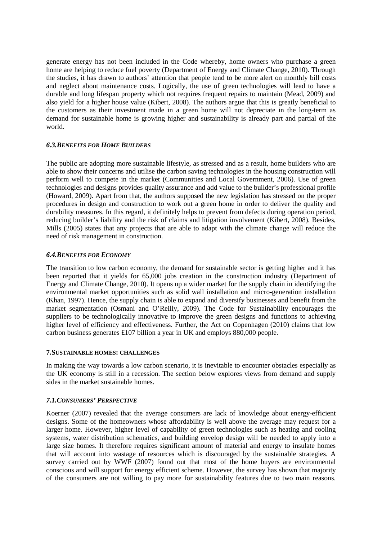generate energy has not been included in the Code whereby, home owners who purchase a green home are helping to reduce fuel poverty (Department of Energy and Climate Change, 2010). Through the studies, it has drawn to authors' attention that people tend to be more alert on monthly bill costs and neglect about maintenance costs. Logically, the use of green technologies will lead to have a durable and long lifespan property which not requires frequent repairs to maintain (Mead, 2009) and also yield for a higher house value (Kibert, 2008). The authors argue that this is greatly beneficial to the customers as their investment made in a green home will not depreciate in the long-term as demand for sustainable home is growing higher and sustainability is already part and partial of the world.

# *6.3.BENEFITS FOR HOME BUILDERS*

The public are adopting more sustainable lifestyle, as stressed and as a result, home builders who are able to show their concerns and utilise the carbon saving technologies in the housing construction will perform well to compete in the market (Communities and Local Government, 2006). Use of green technologies and designs provides quality assurance and add value to the builder's professional profile (Howard, 2009). Apart from that, the authors supposed the new legislation has stressed on the proper procedures in design and construction to work out a green home in order to deliver the quality and durability measures. In this regard, it definitely helps to prevent from defects during operation period, reducing builder's liability and the risk of claims and litigation involvement (Kibert, 2008). Besides, Mills (2005) states that any projects that are able to adapt with the climate change will reduce the need of risk management in construction.

## *6.4.BENEFITS FOR ECONOMY*

The transition to low carbon economy, the demand for sustainable sector is getting higher and it has been reported that it yields for 65,000 jobs creation in the construction industry (Department of Energy and Climate Change, 2010). It opens up a wider market for the supply chain in identifying the environmental market opportunities such as solid wall installation and micro-generation installation (Khan, 1997). Hence, the supply chain is able to expand and diversify businesses and benefit from the market segmentation (Osmani and O'Reilly, 2009). The Code for Sustainability encourages the suppliers to be technologically innovative to improve the green designs and functions to achieving higher level of efficiency and effectiveness. Further, the Act on Copenhagen (2010) claims that low carbon business generates £107 billion a year in UK and employs 880,000 people.

## **7.SUSTAINABLE HOMES: CHALLENGES**

In making the way towards a low carbon scenario, it is inevitable to encounter obstacles especially as the UK economy is still in a recession. The section below explores views from demand and supply sides in the market sustainable homes.

## *7.1.CONSUMERS' PERSPECTIVE*

Koerner (2007) revealed that the average consumers are lack of knowledge about energy-efficient designs. Some of the homeowners whose affordability is well above the average may request for a larger home. However, higher level of capability of green technologies such as heating and cooling systems, water distribution schematics, and building envelop design will be needed to apply into a large size homes. It therefore requires significant amount of material and energy to insulate homes that will account into wastage of resources which is discouraged by the sustainable strategies. A survey carried out by WWF (2007) found out that most of the home buyers are environmental conscious and will support for energy efficient scheme. However, the survey has shown that majority of the consumers are not willing to pay more for sustainability features due to two main reasons.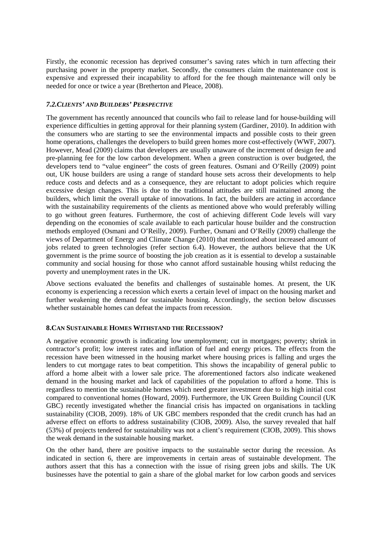Firstly, the economic recession has deprived consumer's saving rates which in turn affecting their purchasing power in the property market. Secondly, the consumers claim the maintenance cost is expensive and expressed their incapability to afford for the fee though maintenance will only be needed for once or twice a year (Bretherton and Pleace, 2008).

# *7.2.CLIENTS' AND BUILDERS' PERSPECTIVE*

The government has recently announced that councils who fail to release land for house-building will experience difficulties in getting approval for their planning system (Gardiner, 2010). In addition with the consumers who are starting to see the environmental impacts and possible costs to their green home operations, challenges the developers to build green homes more cost-effectively (WWF, 2007). However, Mead (2009) claims that developers are usually unaware of the increment of design fee and pre-planning fee for the low carbon development. When a green construction is over budgeted, the developers tend to "value engineer" the costs of green features. Osmani and O'Reilly (2009) point out, UK house builders are using a range of standard house sets across their developments to help reduce costs and defects and as a consequence, they are reluctant to adopt policies which require excessive design changes. This is due to the traditional attitudes are still maintained among the builders, which limit the overall uptake of innovations. In fact, the builders are acting in accordance with the sustainability requirements of the clients as mentioned above who would preferably willing to go without green features. Furthermore, the cost of achieving different Code levels will vary depending on the economies of scale available to each particular house builder and the construction methods employed (Osmani and O'Reilly, 2009). Further, Osmani and O'Reilly (2009) challenge the views of Department of Energy and Climate Change (2010) that mentioned about increased amount of jobs related to green technologies (refer section 6.4). However, the authors believe that the UK government is the prime source of boosting the job creation as it is essential to develop a sustainable community and social housing for those who cannot afford sustainable housing whilst reducing the poverty and unemployment rates in the UK.

Above sections evaluated the benefits and challenges of sustainable homes. At present, the UK economy is experiencing a recession which exerts a certain level of impact on the housing market and further weakening the demand for sustainable housing. Accordingly, the section below discusses whether sustainable homes can defeat the impacts from recession.

## **8.CAN SUSTAINABLE HOMES WITHSTAND THE RECESSION?**

A negative economic growth is indicating low unemployment; cut in mortgages; poverty; shrink in contractor's profit; low interest rates and inflation of fuel and energy prices. The effects from the recession have been witnessed in the housing market where housing prices is falling and urges the lenders to cut mortgage rates to beat competition. This shows the incapability of general public to afford a home albeit with a lower sale price. The aforementioned factors also indicate weakened demand in the housing market and lack of capabilities of the population to afford a home. This is regardless to mention the sustainable homes which need greater investment due to its high initial cost compared to conventional homes (Howard, 2009). Furthermore, the UK Green Building Council (UK GBC) recently investigated whether the financial crisis has impacted on organisations in tackling sustainability (CIOB, 2009). 18% of UK GBC members responded that the credit crunch has had an adverse effect on efforts to address sustainability (CIOB, 2009). Also, the survey revealed that half (53%) of projects tendered for sustainability was not a client's requirement (CIOB, 2009). This shows the weak demand in the sustainable housing market.

On the other hand, there are positive impacts to the sustainable sector during the recession. As indicated in section 6, there are improvements in certain areas of sustainable development. The authors assert that this has a connection with the issue of rising green jobs and skills. The UK businesses have the potential to gain a share of the global market for low carbon goods and services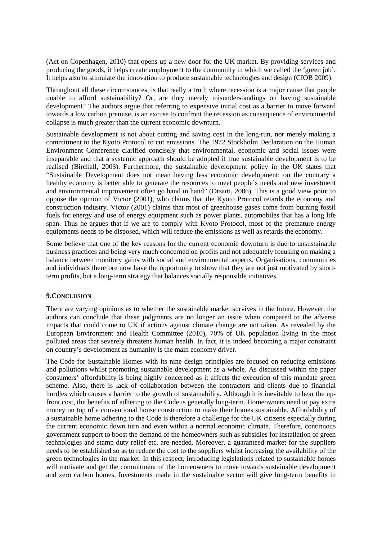(Act on Copenhagen, 2010) that opens up a new door for the UK market. By providing services and producing the goods, it helps create employment to the community in which we called the 'green job'. It helps also to stimulate the innovation to produce sustainable technologies and design (CIOB 2009).

Throughout all these circumstances, is that really a truth where recession is a major cause that people unable to afford sustainability? Or, are they merely misunderstandings on having sustainable development? The authors argue that referring to expensive initial cost as a barrier to move forward towards a low carbon premise, is an excuse to confront the recession as consequence of environmental collapse is much greater than the current economic downturn.

Sustainable development is not about cutting and saving cost in the long-run, nor merely making a commitment to the Kyoto Protocol to cut emissions. The 1972 Stockholm Declaration on the Human Environment Conference clarified concisely that environmental, economic and social issues were inseparable and that a systemic approach should be adopted if true sustainable development is to be realised (Birchall, 2003). Furthermore, the sustainable development policy in the UK states that "Sustainable Development does not mean having less economic development: on the contrary a healthy economy is better able to generate the resources to meet people's needs and new investment and environmental improvement often go hand in hand" (Orsatti, 2006). This is a good view point to oppose the opinion of Victor (2001), who claims that the Kyoto Protocol retards the economy and construction industry. Victor (2001) claims that most of greenhouse gases come from burning fossil fuels for energy and use of energy equipment such as power plants, automobiles that has a long life span. Thus he argues that if we are to comply with Kyoto Protocol, most of the premature energy equipments needs to be disposed, which will reduce the emissions as well as retards the economy.

Some believe that one of the key reasons for the current economic downturn is due to unsustainable business practices and being very much concerned on profits and not adequately focusing on making a balance between monitory gains with social and environmental aspects. Organisations, communities and individuals therefore now have the opportunity to show that they are not just motivated by shortterm profits, but a long-term strategy that balances socially responsible initiatives.

## **9.CONCLUSION**

There are varying opinions as to whether the sustainable market survives in the future. However, the authors can conclude that these judgments are no longer an issue when compared to the adverse impacts that could come to UK if actions against climate change are not taken. As revealed by the European Environment and Health Committee (2010), 70% of UK population living in the most polluted areas that severely threatens human health. In fact, it is indeed becoming a major constraint on country's development as humanity is the main economy driver.

The Code for Sustainable Homes with its nine design principles are focused on reducing emissions and pollutions whilst promoting sustainable development as a whole. As discussed within the paper consumers' affordability is being highly concerned as it affects the execution of this mandate green scheme. Also, there is lack of collaboration between the contractors and clients due to financial hurdles which causes a barrier to the growth of sustainability. Although it is inevitable to bear the upfront cost, the benefits of adhering to the Code is generally long-term. Homeowners need to pay extra money on top of a conventional house construction to make their homes sustainable. Affordability of a sustainable home adhering to the Code is therefore a challenge for the UK citizens especially during the current economic down turn and even within a normal economic climate. Therefore, continuous government support to boost the demand of the homeowners such as subsidies for installation of green technologies and stamp duty relief etc. are needed. Moreover, a guaranteed market for the suppliers needs to be established so as to reduce the cost to the suppliers whilst increasing the availability of the green technologies in the market. In this respect, introducing legislations related to sustainable homes will motivate and get the commitment of the homeowners to move towards sustainable development and zero carbon homes. Investments made in the sustainable sector will give long-term benefits in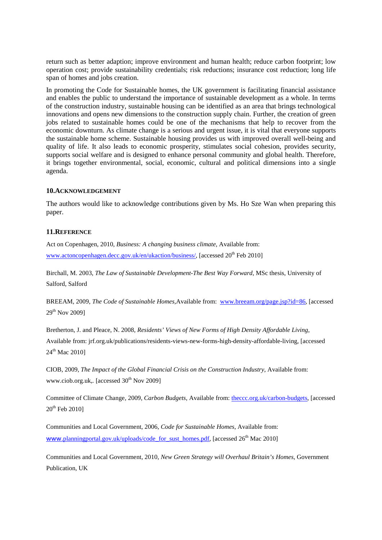return such as better adaption; improve environment and human health; reduce carbon footprint; low operation cost; provide sustainability credentials; risk reductions; insurance cost reduction; long life span of homes and jobs creation.

In promoting the Code for Sustainable homes, the UK government is facilitating financial assistance and enables the public to understand the importance of sustainable development as a whole. In terms of the construction industry, sustainable housing can be identified as an area that brings technological innovations and opens new dimensions to the construction supply chain. Further, the creation of green jobs related to sustainable homes could be one of the mechanisms that help to recover from the economic downturn. As climate change is a serious and urgent issue, it is vital that everyone supports the sustainable home scheme. Sustainable housing provides us with improved overall well-being and quality of life. It also leads to economic prosperity, stimulates social cohesion, provides security, supports social welfare and is designed to enhance personal community and global health. Therefore, it brings together environmental, social, economic, cultural and political dimensions into a single agenda.

#### **10.ACKNOWLEDGEMENT**

The authors would like to acknowledge contributions given by Ms. Ho Sze Wan when preparing this paper.

#### **11.REFERENCE**

Act on Copenhagen, 2010, *Business: A changing business climate*, Available from: www.actoncopenhagen.decc.gov.uk/en/ukaction/business/, [accessed 20<sup>th</sup> Feb 2010]

Birchall, M. 2003, *The Law of Sustainable Development-The Best Way Forward*, MSc thesis, University of Salford, Salford

BREEAM, 2009, *The Code of Sustainable Homes*, Available from: www[.breeam.org/page.jsp?id=86](http://www.breeam.org/page.jsp?id=86). [accessed 29th Nov 2009]

Bretherton, J. and Pleace, N. 2008, *Residents' Views of New Forms of High Density Affordable Living*, Available from: jrf.org.uk/publications/residents-views-new-forms-high-density-affordable-living, [accessed 24<sup>th</sup> Mac 20101

CIOB, 2009, *The Impact of the Global Financial Crisis on the Construction Industry*, Available from: www.ciob.org.uk, [accessed 30<sup>th</sup> Nov 2009]

Committee of Climate Change, 2009, *Carbon Budgets*, Available from: [theccc.org.uk/carbon-budgets,](http://www.theccc.org.uk/carbon-budgets) [accessed  $20<sup>th</sup>$  Feb 20101

Communities and Local Government, 2006, *Code for Sustainable Homes*, Available from: www.[planningportal.gov.uk/uploads/code\\_for\\_sust\\_homes.pdf](http://www.planningportal.gov.uk/uploads/code_for_sust_homes.pdf), [accessed 26<sup>th</sup> Mac 2010]

Communities and Local Government, 2010, *New Green Strategy will Overhaul Britain's Homes*, Government Publication, UK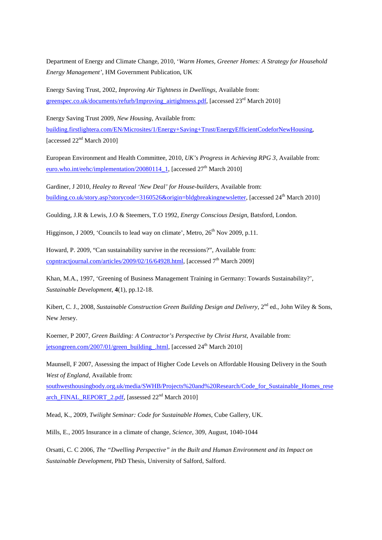Department of Energy and Climate Change, 2010, '*Warm Homes, Greener Homes: A Strategy for Household Energy Management'*, HM Government Publication, UK

Energy Saving Trust, 2002, *Improving Air Tightness in Dwellings*, Available from: greenspec.co.uk/documents/refurb/Improving\_airtightness.pdf, [accessed 23<sup>rd</sup> March 2010]

Energy Saving Trust 2009, *New Housing*, Available from:

building.firstlightera.com/EN/Microsites/1/Energy+Saving+Trust/EnergyEfficientCodeforNewHousing , [accessed 22<sup>nd</sup> March 2010]

European Environment and Health Committee, 2010, *UK's Progress in Achieving RPG 3*, Available from: [euro.who.int/eehc/implementation/20080114\\_1,](http://www.euro.who.int/eehc/implementation/20080114_1) [accessed  $27<sup>th</sup>$  March 2010]

Gardiner, J 2010, *Healey to Reveal 'New Deal' for House-builders*, Available from: [building.co.uk/story.asp?storycode=3160526&origin=bldgbreakingnewsletter,](http://www.building.co.uk/story.asp?storycode=3160526&origin=bldgbreakingnewsletter) [accessed 24th March 2010]

Goulding, J.R & Lewis, J.O & Steemers, T.O 1992, *Energy Conscious Design*, Batsford, London.

Higginson, J 2009, 'Councils to lead way on climate', Metro,  $26<sup>th</sup>$  Nov 2009, p.11.

Howard, P. 2009, "Can sustainability survive in the recessions?", Available from: copntractjournal.com/articles/2009/02/16/64928.html, [accessed 7<sup>th</sup> March 2009]

Khan, M.A., 1997, 'Greening of Business Management Training in Germany: Towards Sustainability?', *Sustainable Development*, **4**(1), pp.12-18.

Kibert, C. J., 2008, *Sustainable Construction Green Building Design and Delivery*, 2<sup>nd</sup> ed., John Wiley & Sons, New Jersey.

Koerner, P 2007, *Green Building: A Contractor's Perspective by Christ Hurst*, Available from: [jetsongreen.com/2007/01/green\\_building\\_.html,](http://www.jetsongreen.com/2007/01/green_building_.html) [accessed  $24<sup>th</sup>$  March 2010]

Maunsell, F 2007, Assessing the impact of Higher Code Levels on Affordable Housing Delivery in the South *West of England*, Available from:

[southwesthousingbody.org.uk/media/SWHB/Projects%20and%20Research/Code\\_for\\_Sustainable\\_Homes\\_rese](http://www.southwesthousingbody.org.uk/media/SWHB/Projects%20and%20Research/Code_for_Sustainable_Homes_research_FINAL_REPORT_2.pdf) [arch\\_FINAL\\_REPORT\\_2.pdf,](http://www.southwesthousingbody.org.uk/media/SWHB/Projects%20and%20Research/Code_for_Sustainable_Homes_research_FINAL_REPORT_2.pdf) [assessed  $22<sup>nd</sup>$  March 2010]

Mead, K., 2009, *Twilight Seminar: Code for Sustainable Homes*, Cube Gallery, UK.

Mills, E., 2005 Insurance in a climate of change, *Science*, 309, August, 1040-1044

Orsatti, C. C 2006, *The "Dwelling Perspective" in the Built and Human Environment and its Impact on Sustainable Development*, PhD Thesis, University of Salford, Salford.